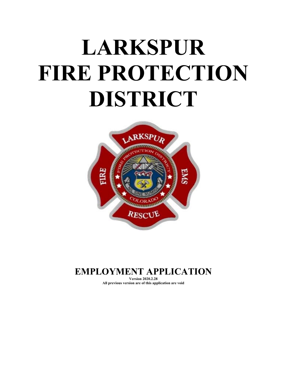# **LARKSPUR FIRE PROTECTION DISTRICT**



# **EMPLOYMENT APPLICATION**

**Version 2020.2.28 All previous version are of this application are void**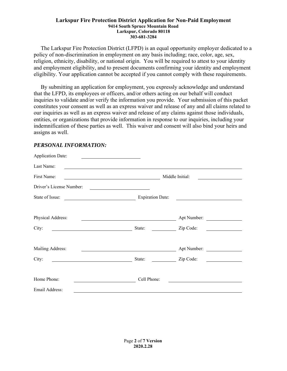The Larkspur Fire Protection District (LFPD) is an equal opportunity employer dedicated to a policy of non-discrimination in employment on any basis including; race, color, age, sex, religion, ethnicity, disability, or national origin. You will be required to attest to your identity and employment eligibility, and to present documents confirming your identity and employment eligibility. Your application cannot be accepted if you cannot comply with these requirements.

 By submitting an application for employment, you expressly acknowledge and understand that the LFPD, its employees or officers, and/or others acting on our behalf will conduct inquiries to validate and/or verify the information you provide. Your submission of this packet constitutes your consent as well as an express waiver and release of any and all claims related to our inquiries as well as an express waiver and release of any claims against those individuals, entities, or organizations that provide information in response to our inquiries, including your indemnification of these parties as well. This waiver and consent will also bind your heirs and assigns as well.

| <b>Application Date:</b>                                                                                                                         |                                                         |                                        |  |
|--------------------------------------------------------------------------------------------------------------------------------------------------|---------------------------------------------------------|----------------------------------------|--|
| Last Name:                                                                                                                                       |                                                         |                                        |  |
| First Name:<br><u> 1989 - Johann Stoff, deutscher Stoffen und der Stoffen und der Stoffen und der Stoffen und der Stoffen und der </u>           |                                                         | Middle Initial:                        |  |
| Driver's License Number:<br><u> 1980 - Jan Stein Stein Stein Stein Stein Stein Stein Stein Stein Stein Stein Stein Stein Stein Stein Stein S</u> |                                                         |                                        |  |
| State of Issue:<br><u> 1980 - Johann Barbara, martin a</u>                                                                                       | <b>Expiration Date:</b>                                 |                                        |  |
|                                                                                                                                                  |                                                         |                                        |  |
| Physical Address:                                                                                                                                | <u> 1980 - Johann Barbara, martin a</u>                 | Apt Number:                            |  |
| City:                                                                                                                                            | State:                                                  | Zip Code:<br><u> 1999 - Andrea Sta</u> |  |
|                                                                                                                                                  |                                                         |                                        |  |
| Mailing Address:                                                                                                                                 | <u> 1989 - Johann Barnett, fransk politik (d. 1989)</u> | Apt Number:                            |  |
| City:                                                                                                                                            | State:                                                  | Zip Code:                              |  |
|                                                                                                                                                  |                                                         |                                        |  |
| Home Phone:                                                                                                                                      | Cell Phone:                                             |                                        |  |
| Email Address:                                                                                                                                   |                                                         |                                        |  |

## *PERSONAL INFORMATION:*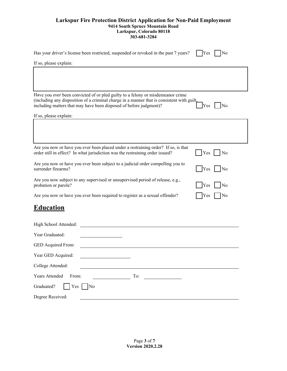| Has your driver's license been restricted, suspended or revoked in the past 7 years?<br>Yes<br>No                                                                                                                                                                |  |  |  |  |  |  |
|------------------------------------------------------------------------------------------------------------------------------------------------------------------------------------------------------------------------------------------------------------------|--|--|--|--|--|--|
| If so, please explain:                                                                                                                                                                                                                                           |  |  |  |  |  |  |
|                                                                                                                                                                                                                                                                  |  |  |  |  |  |  |
| Have you ever been convicted of or pled guilty to a felony or misdemeanor crime<br>(including any disposition of a criminal charge in a manner that is consistent with guilt,<br>including matters that may have been disposed of before judgment)?<br>Yes<br>No |  |  |  |  |  |  |
| If so, please explain:                                                                                                                                                                                                                                           |  |  |  |  |  |  |
|                                                                                                                                                                                                                                                                  |  |  |  |  |  |  |
| Are you now or have you ever been placed under a restraining order? If so, is that<br>order still in effect? In what jurisdiction was the restraining order issued?<br>Yes<br>No                                                                                 |  |  |  |  |  |  |
| Are you now or have you ever been subject to a judicial order compelling you to<br>surrender firearms?<br>Yes<br>No                                                                                                                                              |  |  |  |  |  |  |
| Are you now subject to any supervised or unsupervised period of release, e.g.,<br>probation or parole?<br>No<br>Yes                                                                                                                                              |  |  |  |  |  |  |
| Are you now or have you ever been required to register as a sexual offender?<br>No<br>Yes                                                                                                                                                                        |  |  |  |  |  |  |
| <b>Education</b>                                                                                                                                                                                                                                                 |  |  |  |  |  |  |
| High School Attended:                                                                                                                                                                                                                                            |  |  |  |  |  |  |
| Year Graduated:                                                                                                                                                                                                                                                  |  |  |  |  |  |  |
| GED Acquired From:                                                                                                                                                                                                                                               |  |  |  |  |  |  |
| Year GED Acquired:                                                                                                                                                                                                                                               |  |  |  |  |  |  |
| College Attended:                                                                                                                                                                                                                                                |  |  |  |  |  |  |
| Years Attended<br>To:<br>From:                                                                                                                                                                                                                                   |  |  |  |  |  |  |
| Graduated?<br>Yes<br>No                                                                                                                                                                                                                                          |  |  |  |  |  |  |
| Degree Received:                                                                                                                                                                                                                                                 |  |  |  |  |  |  |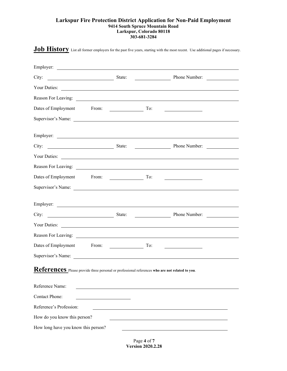**Job History** List all former employers for the past five years, starting with the most recent. Use additional pages if necessary.

| Employer:                                                                                       | <u> 1989 - Johann Barbara, martin amerikan basal dan berkembang di kalendar dan basal dan berkembang dan basal da</u>                                                                                                                                 |                       |                      |  |
|-------------------------------------------------------------------------------------------------|-------------------------------------------------------------------------------------------------------------------------------------------------------------------------------------------------------------------------------------------------------|-----------------------|----------------------|--|
| City:<br>State:                                                                                 |                                                                                                                                                                                                                                                       |                       | <b>Phone Number:</b> |  |
| Your Duties:                                                                                    |                                                                                                                                                                                                                                                       |                       |                      |  |
|                                                                                                 |                                                                                                                                                                                                                                                       |                       |                      |  |
| Dates of Employment<br>From:                                                                    | $\mathcal{L}^{\text{max}}$ and $\mathcal{L}^{\text{max}}$ . The set of the set of the set of the set of the set of the set of the set of the set of the set of the set of the set of the set of the set of the set of the set of the set of the set o | To:                   |                      |  |
|                                                                                                 |                                                                                                                                                                                                                                                       |                       |                      |  |
| Employer:                                                                                       |                                                                                                                                                                                                                                                       |                       |                      |  |
| City:<br>State:                                                                                 |                                                                                                                                                                                                                                                       |                       | Phone Number:        |  |
|                                                                                                 |                                                                                                                                                                                                                                                       |                       |                      |  |
|                                                                                                 |                                                                                                                                                                                                                                                       |                       |                      |  |
| Dates of Employment                                                                             | From:                                                                                                                                                                                                                                                 | To:                   |                      |  |
|                                                                                                 |                                                                                                                                                                                                                                                       |                       |                      |  |
|                                                                                                 |                                                                                                                                                                                                                                                       |                       |                      |  |
| State:<br>City:                                                                                 |                                                                                                                                                                                                                                                       | <u> Alban Maria (</u> | Phone Number:        |  |
| Your Duties:                                                                                    | <u> Alexandria de la contrada de la contrada de la contrada de la contrada de la contrada de la contrada de la c</u>                                                                                                                                  |                       |                      |  |
|                                                                                                 |                                                                                                                                                                                                                                                       |                       |                      |  |
| Dates of Employment                                                                             | From: The Communication of the Communication of the Communication of the Communication of the Communication of the Communication of the Communication of the Communication of the Communication of the Communication of the Co                        | To:                   |                      |  |
| Supervisor's Name:                                                                              |                                                                                                                                                                                                                                                       |                       |                      |  |
| References Please provide three personal or professional references who are not related to you. |                                                                                                                                                                                                                                                       |                       |                      |  |
| Reference Name:                                                                                 |                                                                                                                                                                                                                                                       |                       |                      |  |
| <b>Contact Phone:</b>                                                                           |                                                                                                                                                                                                                                                       |                       |                      |  |
| Reference's Profession:                                                                         |                                                                                                                                                                                                                                                       |                       |                      |  |
| How do you know this person?                                                                    |                                                                                                                                                                                                                                                       |                       |                      |  |
| How long have you know this person?                                                             |                                                                                                                                                                                                                                                       |                       |                      |  |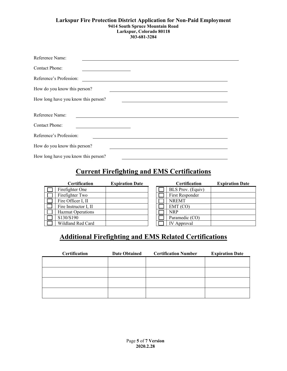| Reference Name:                     |  |
|-------------------------------------|--|
| Contact Phone:                      |  |
| Reference's Profession:             |  |
| How do you know this person?        |  |
| How long have you know this person? |  |
| Reference Name:                     |  |
| <b>Contact Phone:</b>               |  |
| Reference's Profession:             |  |
| How do you know this person?        |  |
| How long have you know this person? |  |

## **Current Firefighting and EMS Certifications**

| <b>Certification</b>     | <b>Expiration Date</b> |  | <b>Certification</b>     |
|--------------------------|------------------------|--|--------------------------|
| Firefighter One          |                        |  | <b>BLS Prov.</b> (Equiv) |
| Firefighter Two          |                        |  | First Responder          |
| Fire Officer I, II       |                        |  | <b>NREMT</b>             |
| Fire Instructor I, II    |                        |  | EMT (CO)                 |
| <b>Hazmat Operations</b> |                        |  | <b>NRP</b>               |
| S130/S190                |                        |  | Paramedic (CO)           |
| Wildland Red Card        |                        |  | <b>IV</b> Approval       |

| Certification   | <b>Expiration Date</b> |  | <b>Certification</b>     | <b>Expiration Date</b> |
|-----------------|------------------------|--|--------------------------|------------------------|
| ghter One       |                        |  | <b>BLS Prov.</b> (Equiv) |                        |
| ghter Two       |                        |  | First Responder          |                        |
| Officer I, II   |                        |  | <b>NREMT</b>             |                        |
| nstructor I, II |                        |  | EMT(CO)                  |                        |
| nat Operations  |                        |  | <b>NRP</b>               |                        |
| $\sqrt{S}190$   |                        |  | Paramedic (CO)           |                        |
| land Red Card   |                        |  | <b>IV</b> Approval       |                        |

## **Additional Firefighting and EMS Related Certifications**

| <b>Certification</b> | <b>Date Obtained</b> | <b>Certification Number</b> | <b>Expiration Date</b> |
|----------------------|----------------------|-----------------------------|------------------------|
|                      |                      |                             |                        |
|                      |                      |                             |                        |
|                      |                      |                             |                        |
|                      |                      |                             |                        |
|                      |                      |                             |                        |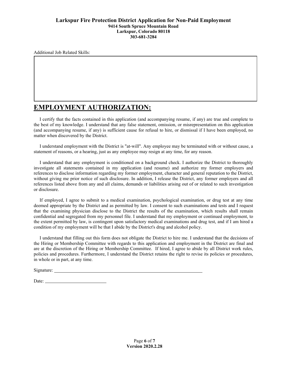Additional Job Related Skills:

## **EMPLOYMENT AUTHORIZATION:**

 I certify that the facts contained in this application (and accompanying resume, if any) are true and complete to the best of my knowledge. I understand that any false statement, omission, or misrepresentation on this application (and accompanying resume, if any) is sufficient cause for refusal to hire, or dismissal if I have been employed, no matter when discovered by the District.

 I understand employment with the District is "at-will". Any employee may be terminated with or without cause, a statement of reasons, or a hearing, just as any employee may resign at any time, for any reason.

 I understand that any employment is conditioned on a background check. I authorize the District to thoroughly investigate all statements contained in my application (and resume) and authorize my former employers and references to disclose information regarding my former employment, character and general reputation to the District, without giving me prior notice of such disclosure. In addition, I release the District, any former employers and all references listed above from any and all claims, demands or liabilities arising out of or related to such investigation or disclosure.

 If employed, I agree to submit to a medical examination, psychological examination, or drug test at any time deemed appropriate by the District and as permitted by law. I consent to such examinations and tests and I request that the examining physician disclose to the District the results of the examination, which results shall remain confidential and segregated from my personnel file. I understand that my employment or continued employment, to the extent permitted by law, is contingent upon satisfactory medical examinations and drug test, and if I am hired a condition of my employment will be that I abide by the District's drug and alcohol policy.

 I understand that filling out this form does not obligate the District to hire me. I understand that the decisions of the Hiring or Membership Committee with regards to this application and employment in the District are final and are at the discretion of the Hiring or Membership Committee. If hired, I agree to abide by all District work rules, policies and procedures. Furthermore, I understand the District retains the right to revise its policies or procedures, in whole or in part, at any time.

Signature:

Date: